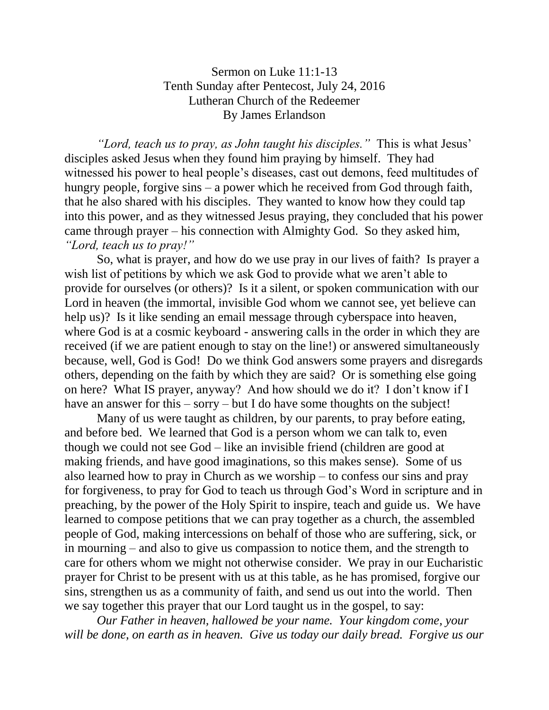## Sermon on Luke 11:1-13 Tenth Sunday after Pentecost, July 24, 2016 Lutheran Church of the Redeemer By James Erlandson

*"Lord, teach us to pray, as John taught his disciples."* This is what Jesus' disciples asked Jesus when they found him praying by himself. They had witnessed his power to heal people's diseases, cast out demons, feed multitudes of hungry people, forgive sins – a power which he received from God through faith, that he also shared with his disciples. They wanted to know how they could tap into this power, and as they witnessed Jesus praying, they concluded that his power came through prayer – his connection with Almighty God. So they asked him, *"Lord, teach us to pray!"*

So, what is prayer, and how do we use pray in our lives of faith? Is prayer a wish list of petitions by which we ask God to provide what we aren't able to provide for ourselves (or others)? Is it a silent, or spoken communication with our Lord in heaven (the immortal, invisible God whom we cannot see, yet believe can help us)? Is it like sending an email message through cyberspace into heaven, where God is at a cosmic keyboard - answering calls in the order in which they are received (if we are patient enough to stay on the line!) or answered simultaneously because, well, God is God! Do we think God answers some prayers and disregards others, depending on the faith by which they are said? Or is something else going on here? What IS prayer, anyway? And how should we do it? I don't know if I have an answer for this – sorry – but I do have some thoughts on the subject!

Many of us were taught as children, by our parents, to pray before eating, and before bed. We learned that God is a person whom we can talk to, even though we could not see God – like an invisible friend (children are good at making friends, and have good imaginations, so this makes sense). Some of us also learned how to pray in Church as we worship – to confess our sins and pray for forgiveness, to pray for God to teach us through God's Word in scripture and in preaching, by the power of the Holy Spirit to inspire, teach and guide us. We have learned to compose petitions that we can pray together as a church, the assembled people of God, making intercessions on behalf of those who are suffering, sick, or in mourning – and also to give us compassion to notice them, and the strength to care for others whom we might not otherwise consider. We pray in our Eucharistic prayer for Christ to be present with us at this table, as he has promised, forgive our sins, strengthen us as a community of faith, and send us out into the world. Then we say together this prayer that our Lord taught us in the gospel, to say:

*Our Father in heaven, hallowed be your name. Your kingdom come, your*  will be done, on earth as in heaven. Give us today our daily bread. Forgive us our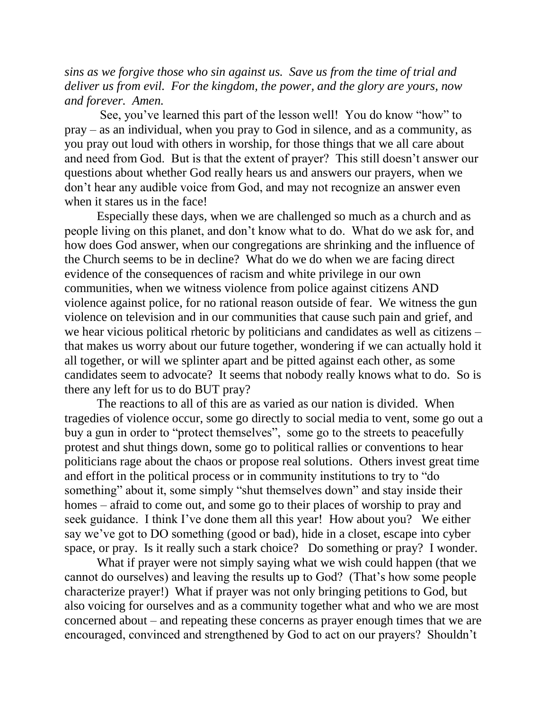*sins as we forgive those who sin against us. Save us from the time of trial and deliver us from evil. For the kingdom, the power, and the glory are yours, now and forever. Amen.*

See, you've learned this part of the lesson well! You do know "how" to pray – as an individual, when you pray to God in silence, and as a community, as you pray out loud with others in worship, for those things that we all care about and need from God. But is that the extent of prayer? This still doesn't answer our questions about whether God really hears us and answers our prayers, when we don't hear any audible voice from God, and may not recognize an answer even when it stares us in the face!

Especially these days, when we are challenged so much as a church and as people living on this planet, and don't know what to do. What do we ask for, and how does God answer, when our congregations are shrinking and the influence of the Church seems to be in decline? What do we do when we are facing direct evidence of the consequences of racism and white privilege in our own communities, when we witness violence from police against citizens AND violence against police, for no rational reason outside of fear. We witness the gun violence on television and in our communities that cause such pain and grief, and we hear vicious political rhetoric by politicians and candidates as well as citizens – that makes us worry about our future together, wondering if we can actually hold it all together, or will we splinter apart and be pitted against each other, as some candidates seem to advocate? It seems that nobody really knows what to do. So is there any left for us to do BUT pray?

The reactions to all of this are as varied as our nation is divided. When tragedies of violence occur, some go directly to social media to vent, some go out a buy a gun in order to "protect themselves", some go to the streets to peacefully protest and shut things down, some go to political rallies or conventions to hear politicians rage about the chaos or propose real solutions. Others invest great time and effort in the political process or in community institutions to try to "do something" about it, some simply "shut themselves down" and stay inside their homes – afraid to come out, and some go to their places of worship to pray and seek guidance. I think I've done them all this year! How about you? We either say we've got to DO something (good or bad), hide in a closet, escape into cyber space, or pray. Is it really such a stark choice? Do something or pray? I wonder.

What if prayer were not simply saying what we wish could happen (that we cannot do ourselves) and leaving the results up to God? (That's how some people characterize prayer!) What if prayer was not only bringing petitions to God, but also voicing for ourselves and as a community together what and who we are most concerned about – and repeating these concerns as prayer enough times that we are encouraged, convinced and strengthened by God to act on our prayers? Shouldn't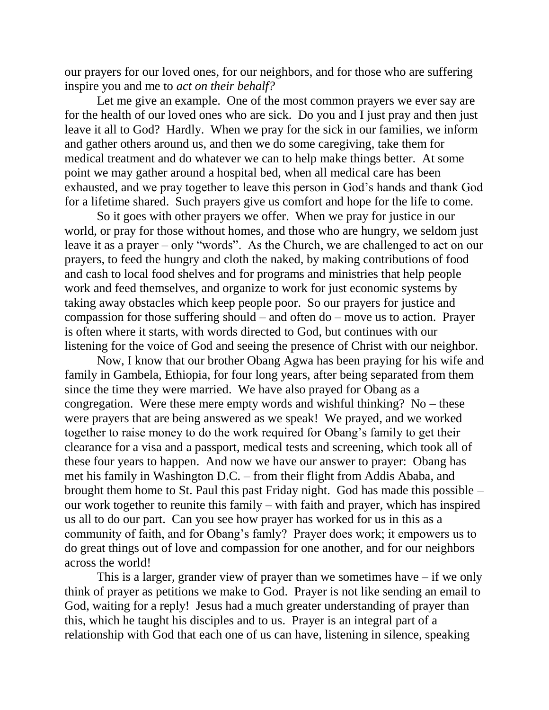our prayers for our loved ones, for our neighbors, and for those who are suffering inspire you and me to *act on their behalf?*

Let me give an example. One of the most common prayers we ever say are for the health of our loved ones who are sick. Do you and I just pray and then just leave it all to God? Hardly. When we pray for the sick in our families, we inform and gather others around us, and then we do some caregiving, take them for medical treatment and do whatever we can to help make things better. At some point we may gather around a hospital bed, when all medical care has been exhausted, and we pray together to leave this person in God's hands and thank God for a lifetime shared. Such prayers give us comfort and hope for the life to come.

So it goes with other prayers we offer. When we pray for justice in our world, or pray for those without homes, and those who are hungry, we seldom just leave it as a prayer – only "words". As the Church, we are challenged to act on our prayers, to feed the hungry and cloth the naked, by making contributions of food and cash to local food shelves and for programs and ministries that help people work and feed themselves, and organize to work for just economic systems by taking away obstacles which keep people poor. So our prayers for justice and compassion for those suffering should – and often do – move us to action. Prayer is often where it starts, with words directed to God, but continues with our listening for the voice of God and seeing the presence of Christ with our neighbor.

Now, I know that our brother Obang Agwa has been praying for his wife and family in Gambela, Ethiopia, for four long years, after being separated from them since the time they were married. We have also prayed for Obang as a congregation. Were these mere empty words and wishful thinking? No – these were prayers that are being answered as we speak! We prayed, and we worked together to raise money to do the work required for Obang's family to get their clearance for a visa and a passport, medical tests and screening, which took all of these four years to happen. And now we have our answer to prayer: Obang has met his family in Washington D.C. – from their flight from Addis Ababa, and brought them home to St. Paul this past Friday night. God has made this possible – our work together to reunite this family – with faith and prayer, which has inspired us all to do our part. Can you see how prayer has worked for us in this as a community of faith, and for Obang's famly? Prayer does work; it empowers us to do great things out of love and compassion for one another, and for our neighbors across the world!

This is a larger, grander view of prayer than we sometimes have  $-$  if we only think of prayer as petitions we make to God. Prayer is not like sending an email to God, waiting for a reply! Jesus had a much greater understanding of prayer than this, which he taught his disciples and to us. Prayer is an integral part of a relationship with God that each one of us can have, listening in silence, speaking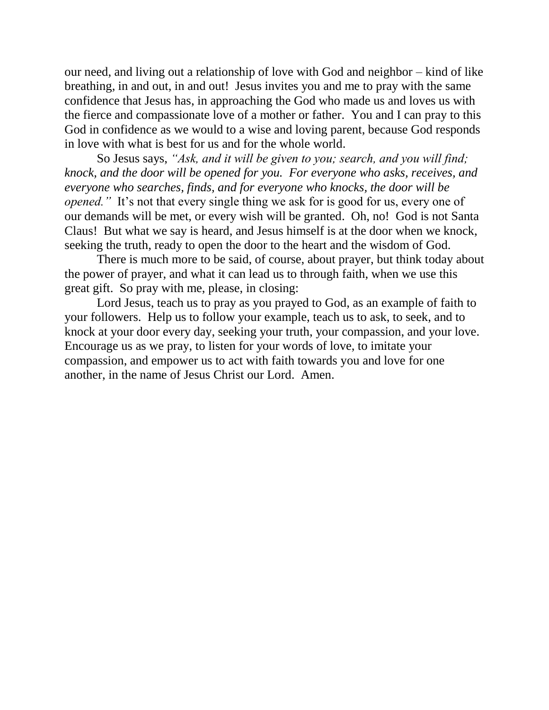our need, and living out a relationship of love with God and neighbor – kind of like breathing, in and out, in and out! Jesus invites you and me to pray with the same confidence that Jesus has, in approaching the God who made us and loves us with the fierce and compassionate love of a mother or father. You and I can pray to this God in confidence as we would to a wise and loving parent, because God responds in love with what is best for us and for the whole world.

So Jesus says, *"Ask, and it will be given to you; search, and you will find; knock, and the door will be opened for you. For everyone who asks, receives, and everyone who searches, finds, and for everyone who knocks, the door will be opened.*" It's not that every single thing we ask for is good for us, every one of our demands will be met, or every wish will be granted. Oh, no! God is not Santa Claus! But what we say is heard, and Jesus himself is at the door when we knock, seeking the truth, ready to open the door to the heart and the wisdom of God.

There is much more to be said, of course, about prayer, but think today about the power of prayer, and what it can lead us to through faith, when we use this great gift. So pray with me, please, in closing:

Lord Jesus, teach us to pray as you prayed to God, as an example of faith to your followers. Help us to follow your example, teach us to ask, to seek, and to knock at your door every day, seeking your truth, your compassion, and your love. Encourage us as we pray, to listen for your words of love, to imitate your compassion, and empower us to act with faith towards you and love for one another, in the name of Jesus Christ our Lord. Amen.